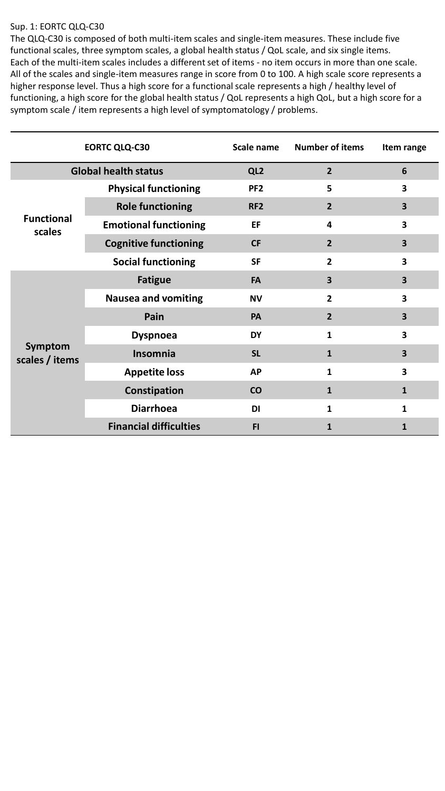## Sup. 1: EORTC QLQ-C30

The QLQ-C30 is composed of both multi-item scales and single-item measures. These include five functional scales, three symptom scales, a global health status / QoL scale, and six single items. Each of the multi-item scales includes a different set of items - no item occurs in more than one scale. All of the scales and single-item measures range in score from 0 to 100. A high scale score represents a higher response level. Thus a high score for a functional scale represents a high / healthy level of functioning, a high score for the global health status / QoL represents a high QoL, but a high score for a symptom scale / item represents a high level of symptomatology / problems.

| <b>EORTC QLQ-C30</b>        |                               | Scale name      | <b>Number of items</b>  | Item range              |
|-----------------------------|-------------------------------|-----------------|-------------------------|-------------------------|
| <b>Global health status</b> |                               | QL <sub>2</sub> | $\overline{2}$          | 6                       |
| <b>Functional</b><br>scales | <b>Physical functioning</b>   | PF <sub>2</sub> | 5                       | 3                       |
|                             | <b>Role functioning</b>       | RF <sub>2</sub> | $\overline{2}$          | $\overline{\mathbf{3}}$ |
|                             | <b>Emotional functioning</b>  | EF              | 4                       | $\overline{\mathbf{3}}$ |
|                             | <b>Cognitive functioning</b>  | <b>CF</b>       | $\overline{2}$          | $\overline{\mathbf{3}}$ |
|                             | <b>Social functioning</b>     | <b>SF</b>       | $\mathbf{2}$            | 3                       |
| Symptom<br>scales / items   | <b>Fatigue</b>                | <b>FA</b>       | $\overline{\mathbf{3}}$ | 3                       |
|                             | <b>Nausea and vomiting</b>    | <b>NV</b>       | $\overline{2}$          | 3                       |
|                             | Pain                          | <b>PA</b>       | $\overline{2}$          | $\overline{\mathbf{3}}$ |
|                             | <b>Dyspnoea</b>               | <b>DY</b>       | 1                       | 3                       |
|                             | Insomnia                      | <b>SL</b>       | 1                       | $\overline{\mathbf{3}}$ |
|                             | <b>Appetite loss</b>          | <b>AP</b>       | 1                       | $\overline{\mathbf{3}}$ |
|                             | Constipation                  | <b>CO</b>       | 1                       | $\mathbf{1}$            |
|                             | <b>Diarrhoea</b>              | <b>DI</b>       | 1                       | $\mathbf{1}$            |
|                             | <b>Financial difficulties</b> | <b>FI</b>       | 1                       | 1                       |